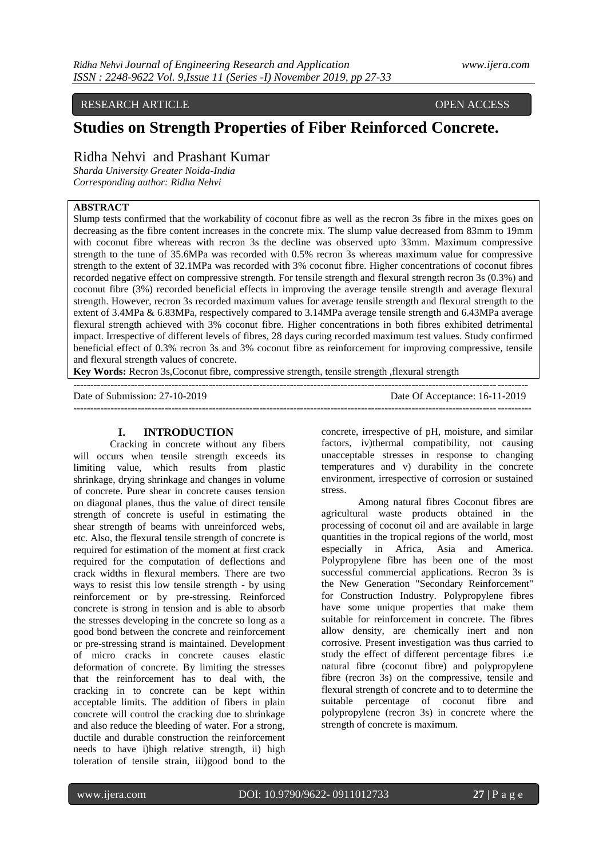#### RESEARCH ARTICLE OPEN ACCESS

# **Studies on Strength Properties of Fiber Reinforced Concrete.**

# Ridha Nehvi and Prashant Kumar

*Sharda University Greater Noida-India Corresponding author: Ridha Nehvi*

## **ABSTRACT**

Slump tests confirmed that the workability of coconut fibre as well as the recron 3s fibre in the mixes goes on decreasing as the fibre content increases in the concrete mix. The slump value decreased from 83mm to 19mm with coconut fibre whereas with recron 3s the decline was observed upto 33mm. Maximum compressive strength to the tune of 35.6MPa was recorded with 0.5% recron 3s whereas maximum value for compressive strength to the extent of 32.1MPa was recorded with 3% coconut fibre. Higher concentrations of coconut fibres recorded negative effect on compressive strength. For tensile strength and flexural strength recron 3s (0.3%) and coconut fibre (3%) recorded beneficial effects in improving the average tensile strength and average flexural strength. However, recron 3s recorded maximum values for average tensile strength and flexural strength to the extent of 3.4MPa & 6.83MPa, respectively compared to 3.14MPa average tensile strength and 6.43MPa average flexural strength achieved with 3% coconut fibre. Higher concentrations in both fibres exhibited detrimental impact. Irrespective of different levels of fibres, 28 days curing recorded maximum test values. Study confirmed beneficial effect of 0.3% recron 3s and 3% coconut fibre as reinforcement for improving compressive, tensile and flexural strength values of concrete.

**Key Words:** Recron 3s,Coconut fibre, compressive strength, tensile strength ,flexural strength

-------------------------------------------------------------------------------------------------------------------------------------- Date of Submission: 27-10-2019 Date Of Acceptance: 16-11-2019 ---------------------------------------------------------------------------------------------------------------------------------------

#### **I. INTRODUCTION**

Cracking in concrete without any fibers will occurs when tensile strength exceeds its limiting value, which results from plastic shrinkage, drying shrinkage and changes in volume of concrete. Pure shear in concrete causes tension on diagonal planes, thus the value of direct tensile strength of concrete is useful in estimating the shear strength of beams with unreinforced webs, etc. Also, the flexural tensile strength of concrete is required for estimation of the moment at first crack required for the computation of deflections and crack widths in flexural members. There are two ways to resist this low tensile strength - by using reinforcement or by pre-stressing. Reinforced concrete is strong in tension and is able to absorb the stresses developing in the concrete so long as a good bond between the concrete and reinforcement or pre-stressing strand is maintained. Development of micro cracks in concrete causes elastic deformation of concrete. By limiting the stresses that the reinforcement has to deal with, the cracking in to concrete can be kept within acceptable limits. The addition of fibers in plain concrete will control the cracking due to shrinkage and also reduce the bleeding of water. For a strong, [ductile](https://en.wikipedia.org/wiki/Ductility) and durable construction the reinforcement needs to have i)high relative [strength,](https://en.wikipedia.org/wiki/Strength_of_materials) ii) high toleration of [tensile strain,](https://en.wikipedia.org/wiki/Deformation_(mechanics)) iii)good [bond](https://en.wikipedia.org/wiki/Adhesion) to the concrete, irrespective of pH, moisture, and similar factors, iv)thermal compatibility, not causing unacceptable stresses in response to changing temperatures and v) durability in the concrete environment, irrespective of corrosion or sustained stress.

Among natural fibres Coconut fibres are agricultural waste products obtained in the processing of coconut oil and are available in large quantities in the tropical regions of the world, most especially in Africa, Asia and America. Polypropylene fibre has been one of the most successful commercial applications. Recron 3s is the New Generation "Secondary Reinforcement" for Construction Industry. Polypropylene fibres have some unique properties that make them suitable for reinforcement in concrete. The fibres allow density, are chemically inert and non corrosive. Present investigation was thus carried to study the effect of different percentage fibres i.e natural fibre (coconut fibre) and polypropylene fibre (recron 3s) on the compressive, tensile and flexural strength of concrete and to to determine the suitable percentage of coconut fibre and polypropylene (recron 3s) in concrete where the strength of concrete is maximum.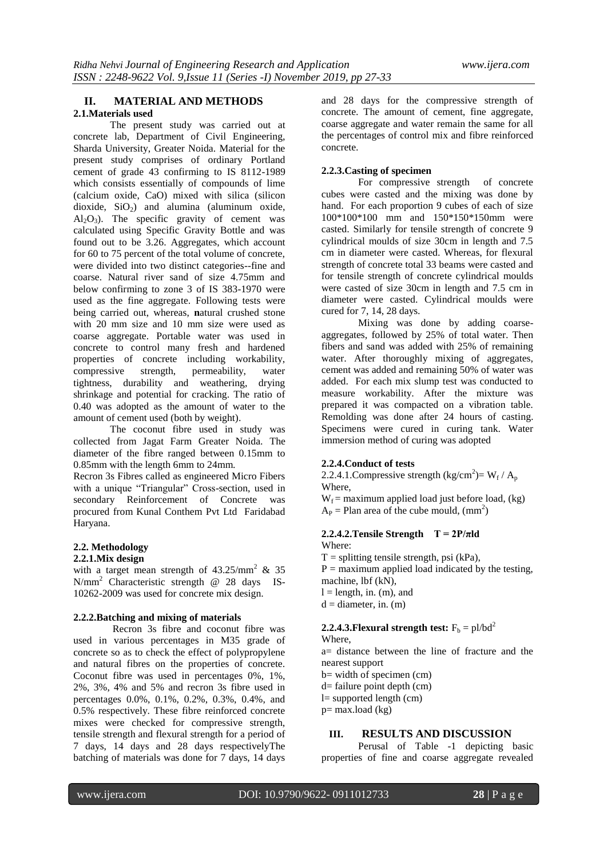## **II. MATERIAL AND METHODS 2.1.Materials used**

The present study was carried out at concrete lab, Department of Civil Engineering, Sharda University, Greater Noida. Material for the present study comprises of ordinary Portland cement of grade 43 confirming to IS 8112-1989 which consists essentially of compounds of lime [\(calcium oxide,](http://www.britannica.com/science/calcium-oxide) CaO) mixed with [silica](http://www.britannica.com/science/silica-mineral) (silicon dioxide,  $SiO<sub>2</sub>$ ) and [alumina](http://www.britannica.com/science/alumina) (aluminum oxide,  $Al_2O_3$ ). The specific gravity of cement was calculated using Specific Gravity Bottle and was found out to be 3.26. Aggregates, which account for 60 to 75 percent of the total volume of concrete, were divided into two distinct categories--fine and coarse. Natural river sand of size 4.75mm and below confirming to zone 3 of IS 383-1970 were used as the fine aggregate. Following tests were being carried out, whereas, **n**atural crushed stone with 20 mm size and 10 mm size were used as coarse aggregate. Portable water was used in concrete to control many fresh and hardened properties of concrete including workability, compressive strength, permeability, water tightness, durability and weathering, drying shrinkage and potential for cracking. The ratio of 0.40 was adopted as the amount of water to the amount of cement used (both by weight).

The coconut fibre used in study was collected from Jagat Farm Greater Noida. The diameter of the fibre ranged between 0.15mm to 0.85mm with the length 6mm to 24mm.

Recron 3s Fibres called as engineered Micro Fibers with a unique "Triangular" Cross-section, used in secondary Reinforcement of Concrete was procured from Kunal Conthem Pvt Ltd Faridabad Haryana.

## **2.2. Methodology**

#### **2.2.1.Mix design**

with a target mean strength of  $43.25/\text{mm}^2$  & 35 N/mm<sup>2</sup> Characteristic strength @ 28 daysIS-10262-2009 was used for concrete mix design.

#### **2.2.2.Batching and mixing of materials**

Recron 3s fibre and coconut fibre was used in various percentages in M35 grade of concrete so as to check the effect of polypropylene and natural fibres on the properties of concrete. Coconut fibre was used in percentages 0%, 1%, 2%, 3%, 4% and 5% and recron 3s fibre used in percentages 0.0%, 0.1%, 0.2%, 0.3%, 0.4%, and 0.5% respectively. These fibre reinforced concrete mixes were checked for compressive strength, tensile strength and flexural strength for a period of 7 days, 14 days and 28 days respectivelyThe batching of materials was done for 7 days, 14 days

and 28 days for the compressive strength of concrete. The amount of cement, fine aggregate, coarse aggregate and water remain the same for all the percentages of control mix and fibre reinforced concrete.

## **2.2.3.Casting of specimen**

For compressive strength of concrete cubes were casted and the mixing was done by hand. For each proportion 9 cubes of each of size 100\*100\*100 mm and 150\*150\*150mm were casted. Similarly for tensile strength of concrete 9 cylindrical moulds of size 30cm in length and 7.5 cm in diameter were casted. Whereas, for flexural strength of concrete total 33 beams were casted and for tensile strength of concrete cylindrical moulds were casted of size 30cm in length and 7.5 cm in diameter were casted. Cylindrical moulds were cured for 7, 14, 28 days.

Mixing was done by adding coarseaggregates, followed by 25% of total water. Then fibers and sand was added with 25% of remaining water. After thoroughly mixing of aggregates, cement was added and remaining 50% of water was added. For each mix slump test was conducted to measure workability. After the mixture was prepared it was compacted on a vibration table. Remolding was done after 24 hours of casting. Specimens were cured in curing tank. Water immersion method of curing was adopted

## **2.2.4.Conduct of tests**

2.2.4.1. Compressive strength  $\frac{\text{kg}}{\text{cm}^2} = W_f / A_p$ Where,

 $W_f$  = maximum applied load just before load, (kg)  $A_P =$ Plan area of the cube mould,  $(mm^2)$ 

#### **2.2.4.2. Tensile Strength**  $T = 2P/\pi$ ld Where:

- $T =$  splitting tensile strength, psi (kPa),
- $P =$  maximum applied load indicated by the testing, machine, lbf (kN),
- $l =$  length, in. (m), and
- $d =$  diameter, in. (m)

#### **2.2.4.3. Flexural strength test:**  $F_b = pl/bd^2$ Where

a= distance between the line of fracture and the nearest support

- b= width of specimen (cm)
- d= failure point depth (cm)
- $l=$  supported length  $(cm)$
- $p=$  max.load (kg)

## **III. RESULTS AND DISCUSSION**

Perusal of Table -1 depicting basic properties of fine and coarse aggregate revealed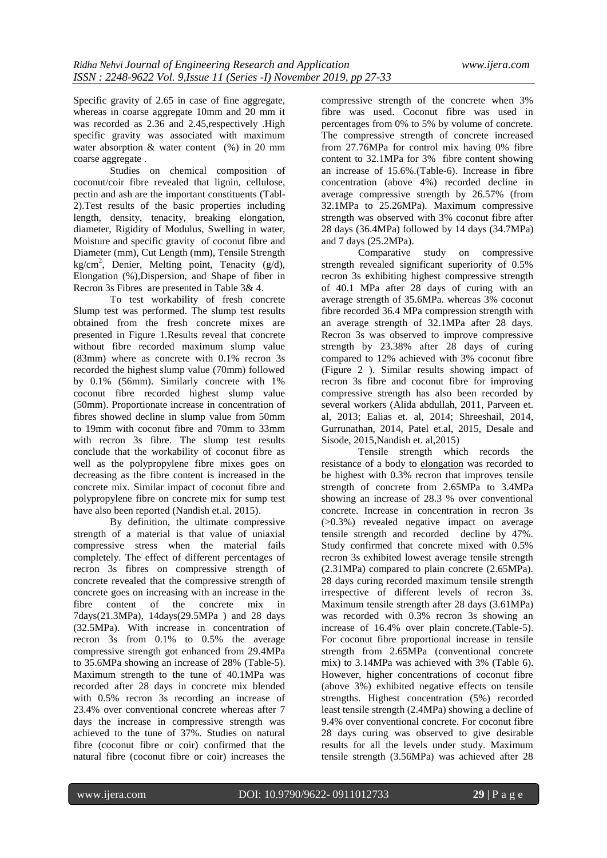Specific gravity of 2.65 in case of fine aggregate, whereas in coarse aggregate 10mm and 20 mm it was recorded as 2.36 and 2.45, respectively . High specific gravity was associated with maximum water absorption  $&$  water content  $(\%)$  in 20 mm coarse aggregate .

Studies on chemical composition of coconut/coir fibre revealed that lignin, cellulose, pectin and ash are the important constituents (Tabl-2).Test results of the basic properties including length, density, tenacity, breaking elongation, diameter, Rigidity of Modulus, Swelling in water, Moisture and specific gravity of coconut fibre and Diameter (mm), Cut Length (mm), Tensile Strength kg/cm<sup>2</sup> , Denier, Melting point, Tenacity (g/d), Elongation (%),Dispersion, and Shape of fiber in Recron 3s Fibres are presented in Table 3& 4.

To test workability of fresh [concrete](https://en.wikipedia.org/wiki/Concrete) Slump test was performed. The slump test results obtained from the fresh concrete mixes are presented in Figure 1.Results reveal that concrete without fibre recorded maximum slump value (83mm) where as concrete with 0.1% recron 3s recorded the highest slump value (70mm) followed by 0.1% (56mm). Similarly concrete with 1% coconut fibre recorded highest slump value (50mm). Proportionate increase in concentration of fibres showed decline in slump value from 50mm to 19mm with coconut fibre and 70mm to 33mm with recron 3s fibre. The slump test results conclude that the workability of coconut fibre as well as the polypropylene fibre mixes goes on decreasing as the fibre content is increased in the concrete mix. Similar impact of coconut fibre and polypropylene fibre on concrete mix for sump test have also been reported (Nandish et.al. 2015).

By definition, the ultimate compressive strength of a material is that value of uniaxial [compressive stress](https://en.wikipedia.org/wiki/Compressive_stress) when the material fails completely. The effect of different percentages of recron 3s fibres on compressive strength of concrete revealed that the compressive strength of concrete goes on increasing with an increase in the fibre content of the concrete mix in 7days(21.3MPa), 14days(29.5MPa ) and 28 days (32.5MPa). With increase in concentration of recron 3s from 0.1% to 0.5% the average compressive strength got enhanced from 29.4MPa to 35.6MPa showing an increase of 28% (Table-5). Maximum strength to the tune of 40.1MPa was recorded after 28 days in concrete mix blended with 0.5% recron 3s recording an increase of 23.4% over conventional concrete whereas after 7 days the increase in compressive strength was achieved to the tune of 37%. Studies on natural fibre (coconut fibre or coir) confirmed that the natural fibre (coconut fibre or coir) increases the

compressive strength of the concrete when 3% fibre was used. Coconut fibre was used in percentages from 0% to 5% by volume of concrete. The compressive strength of concrete increased from 27.76MPa for control mix having 0% fibre content to 32.1MPa for 3% fibre content showing an increase of 15.6%.(Table-6). Increase in fibre concentration (above 4%) recorded decline in average compressive strength by 26.57% (from 32.1MPa to 25.26MPa). Maximum compressive strength was observed with 3% coconut fibre after 28 days (36.4MPa) followed by 14 days (34.7MPa) and 7 days (25.2MPa).

Comparative study on compressive strength revealed significant superiority of 0.5% recron 3s exhibiting highest compressive strength of 40.1 MPa after 28 days of curing with an average strength of 35.6MPa. whereas 3% coconut fibre recorded 36.4 MPa compression strength with an average strength of 32.1MPa after 28 days. Recron 3s was observed to improve compressive strength by 23.38% after 28 days of curing compared to 12% achieved with 3% coconut fibre (Figure 2 ). Similar results showing impact of recron 3s fibre and coconut fibre for improving compressive strength has also been recorded by several workers (Alida abdullah, 2011, Parveen et. al, 2013; Ealias et. al, 2014; Shreeshail, 2014, Gurrunathan, 2014, Patel et.al, 2015, Desale and Sisode, 2015,Nandish et. al,2015)

Tensile strength which records the resistance of a body to [elongation](http://www.businessdictionary.com/definition/elongation.html) was recorded to be highest with 0.3% recron that improves tensile strength of concrete from 2.65MPa to 3.4MPa showing an increase of 28.3 % over conventional concrete. Increase in concentration in recron 3s (>0.3%) revealed negative impact on average tensile strength and recorded decline by 47%. Study confirmed that concrete mixed with 0.5% recron 3s exhibited lowest average tensile strength (2.31MPa) compared to plain concrete (2.65MPa). 28 days curing recorded maximum tensile strength irrespective of different levels of recron 3s. Maximum tensile strength after 28 days (3.61MPa) was recorded with 0.3% recron 3s showing an increase of 16.4% over plain concrete.(Table-5). For coconut fibre proportional increase in tensile strength from 2.65MPa (conventional concrete mix) to 3.14MPa was achieved with 3% (Table 6). However, higher concentrations of coconut fibre (above 3%) exhibited negative effects on tensile strengths. Highest concentration (5%) recorded least tensile strength (2.4MPa) showing a decline of 9.4% over conventional concrete. For coconut fibre 28 days curing was observed to give desirable results for all the levels under study. Maximum tensile strength (3.56MPa) was achieved after 28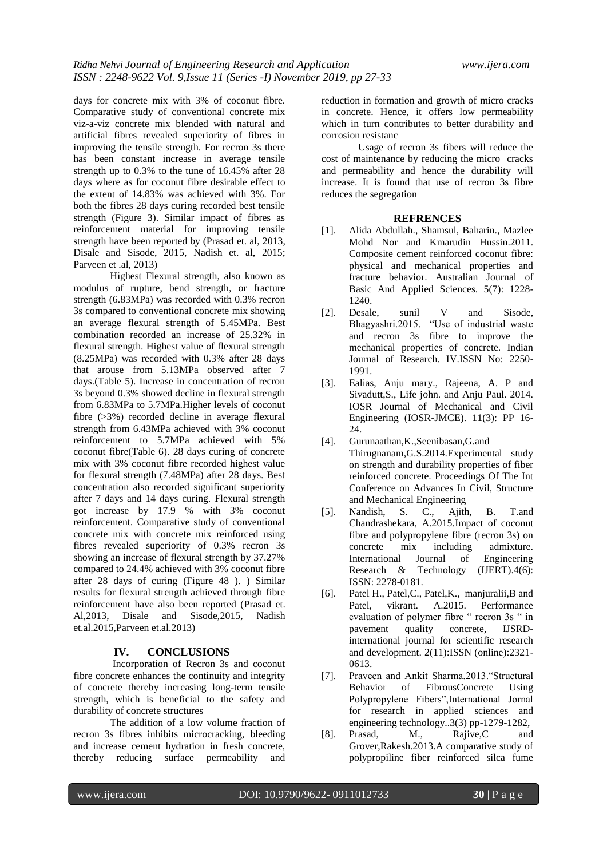days for concrete mix with 3% of coconut fibre. Comparative study of conventional concrete mix viz-a-viz concrete mix blended with natural and artificial fibres revealed superiority of fibres in improving the tensile strength. For recron 3s there has been constant increase in average tensile strength up to 0.3% to the tune of 16.45% after 28 days where as for coconut fibre desirable effect to the extent of 14.83% was achieved with 3%. For both the fibres 28 days curing recorded best tensile strength (Figure 3). Similar impact of fibres as reinforcement material for improving tensile strength have been reported by (Prasad et. al, 2013, Disale and Sisode, 2015, Nadish et. al, 2015; Parveen et .al, 2013)

Highest Flexural strength, also known as modulus of rupture, bend strength, or fracture strength (6.83MPa) was recorded with 0.3% recron 3s compared to conventional concrete mix showing an average flexural strength of 5.45MPa. Best combination recorded an increase of 25.32% in flexural strength. Highest value of flexural strength (8.25MPa) was recorded with 0.3% after 28 days that arouse from 5.13MPa observed after 7 days.(Table 5). Increase in concentration of recron 3s beyond 0.3% showed decline in flexural strength from 6.83MPa to 5.7MPa.Higher levels of coconut fibre (>3%) recorded decline in average flexural strength from 6.43MPa achieved with 3% coconut reinforcement to 5.7MPa achieved with 5% coconut fibre(Table 6). 28 days curing of concrete mix with 3% coconut fibre recorded highest value for flexural strength (7.48MPa) after 28 days. Best concentration also recorded significant superiority after 7 days and 14 days curing. Flexural strength got increase by 17.9 % with 3% coconut reinforcement. Comparative study of conventional concrete mix with concrete mix reinforced using fibres revealed superiority of 0.3% recron 3s showing an increase of flexural strength by 37.27% compared to 24.4% achieved with 3% coconut fibre after 28 days of curing (Figure 48 ). ) Similar results for flexural strength achieved through fibre reinforcement have also been reported (Prasad et. Al,2013, Disale and Sisode,2015, Nadish et.al.2015,Parveen et.al.2013)

#### **IV. CONCLUSIONS**

Incorporation of Recron 3s and coconut fibre concrete enhances the continuity and integrity of concrete thereby increasing long-term tensile strength, which is beneficial to the safety and durability of concrete structures

The addition of a low volume fraction of recron 3s fibres inhibits microcracking, bleeding and increase cement hydration in fresh concrete, thereby reducing surface permeability and

reduction in formation and growth of micro cracks in concrete. Hence, it offers low permeability which in turn contributes to better durability and corrosion resistanc

Usage of recron 3s fibers will reduce the cost of maintenance by reducing the micro cracks and permeability and hence the durability will increase. It is found that use of recron 3s fibre reduces the segregation

#### **REFRENCES**

- [1]. Alida Abdullah., Shamsul, Baharin., Mazlee Mohd Nor and Kmarudin Hussin.2011. Composite cement reinforced coconut fibre: physical and mechanical properties and fracture behavior. Australian Journal of Basic And Applied Sciences. 5(7): 1228- 1240.
- [2]. Desale, sunil V and Sisode, Bhagyashri.2015. "Use of industrial waste and recron 3s fibre to improve the mechanical properties of concrete. Indian Journal of Research. IV.ISSN No: 2250- 1991.
- [3]. Ealias, Anju mary., Rajeena, A. P and Sivadutt,S., Life john. and Anju Paul. 2014. IOSR Journal of Mechanical and Civil Engineering (IOSR-JMCE). 11(3): PP 16- 24.
- [4]. Gurunaathan,K.,Seenibasan,G.and Thirugnanam,G.S.2014.Experimental study on strength and durability properties of fiber reinforced concrete. Proceedings Of The Int Conference on Advances In Civil, Structure and Mechanical Engineering
- [5]. Nandish, S. C., Ajith, B. T.and Chandrashekara, A.2015.Impact of coconut fibre and polypropylene fibre (recron 3s) on concrete mix including admixture. International Journal of Engineering Research & Technology (IJERT).4(6): ISSN: 2278-0181.
- [6]. Patel H., Patel,C., Patel,K., manjuralii,B and Patel, vikrant. A.2015. Performance evaluation of polymer fibre " recron 3s " in pavement quality concrete, IJSRDinternational journal for scientific research and development. 2(11):ISSN (online):2321- 0613.
- [7]. Praveen and Ankit Sharma.2013."Structural Behavior of FibrousConcrete Using Polypropylene Fibers",International Jornal for research in applied sciences and engineering technology..3(3) pp-1279-1282,
- [8]. Prasad, M., Rajive,C and Grover,Rakesh.2013.A comparative study of polypropiline fiber reinforced silca fume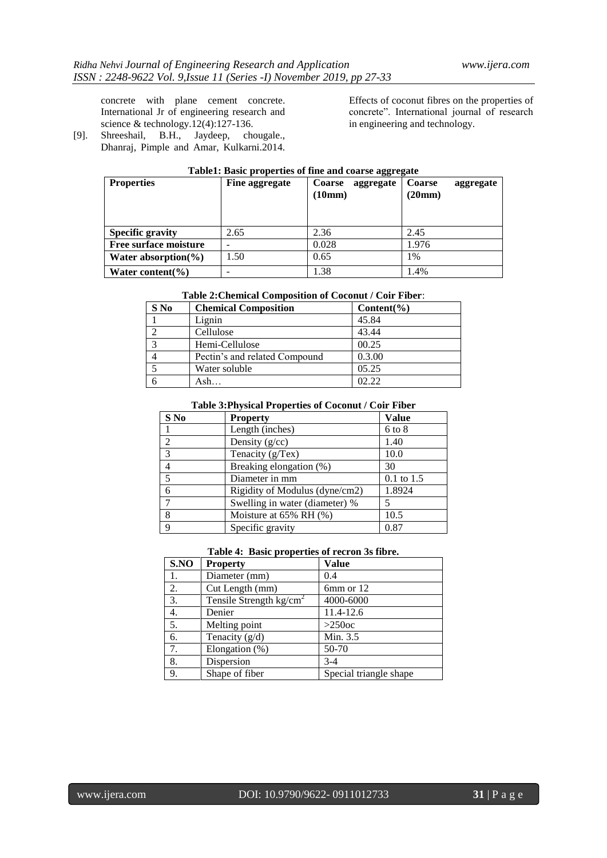concrete with plane cement concrete. International Jr of engineering research and science & technology.12(4):127-136.

[9]. Shreeshail, B.H., Jaydeep, chougale., Dhanraj, Pimple and Amar, Kulkarni.2014. Effects of coconut fibres on the properties of concrete". International journal of research in engineering and technology.

| Tubici: Dubic properties of thic und course aggregate |                |                            |                            |  |
|-------------------------------------------------------|----------------|----------------------------|----------------------------|--|
| <b>Properties</b>                                     | Fine aggregate | <b>Coarse</b><br>aggregate | <b>Coarse</b><br>aggregate |  |
|                                                       |                | (10mm)                     | (20mm)                     |  |
|                                                       |                |                            |                            |  |
|                                                       |                |                            |                            |  |
|                                                       |                |                            |                            |  |
| <b>Specific gravity</b>                               | 2.65           | 2.36                       | 2.45                       |  |
| Free surface moisture                                 |                | 0.028                      | 1.976                      |  |
| Water absorption $\%$ )                               | 1.50           | 0.65                       | 1%                         |  |
| Water content( $\%$ )                                 |                | 1.38                       | 1.4%                       |  |

## **Table1: Basic properties of fine and coarse aggregate**

### **Table 2:Chemical Composition of Coconut / Coir Fiber**:

| $S$ No | <b>Chemical Composition</b>   | $Content(\% )$ |
|--------|-------------------------------|----------------|
|        | Lignin                        | 45.84          |
|        | Cellulose                     | 43.44          |
|        | Hemi-Cellulose                | 00.25          |
|        | Pectin's and related Compound | 0.3.00         |
|        | Water soluble                 | 05.25          |
|        |                               | 02.22          |

#### **Table 3:Physical Properties of Coconut / Coir Fiber**

| S No           | <b>Property</b>                | <b>Value</b>   |
|----------------|--------------------------------|----------------|
|                | Length (inches)                | $6$ to $8$     |
| $\overline{c}$ | Density $(g/cc)$               | 1.40           |
| $\mathcal{E}$  | Tenacity (g/Tex)               | 10.0           |
| 4              | Breaking elongation (%)        | 30             |
| 5              | Diameter in mm                 | $0.1$ to $1.5$ |
| 6              | Rigidity of Modulus (dyne/cm2) | 1.8924         |
| $\mathcal{I}$  | Swelling in water (diameter) % |                |
| 8              | Moisture at $65\%$ RH $(\%)$   | 10.5           |
| $\mathbf Q$    | Specific gravity               | 0.87           |

## **Table 4: Basic properties of recron 3s fibre.**

| S.NO             | <b>Property</b>           | <b>Value</b>           |
|------------------|---------------------------|------------------------|
| 1.               | Diameter (mm)             | 0.4                    |
| 2.               | Cut Length (mm)           | 6mm or 12              |
| 3.               | Tensile Strength $kg/cm2$ | 4000-6000              |
| $\overline{4}$ . | Denier                    | 11.4-12.6              |
| $\overline{5}$ . | Melting point             | $>250$ oc              |
| 6.               | Tenacity $(g/d)$          | Min. 3.5               |
| 7.               | Elongation $(\%)$         | 50-70                  |
| 8.               | Dispersion                | $3-4$                  |
| 9.               | Shape of fiber            | Special triangle shape |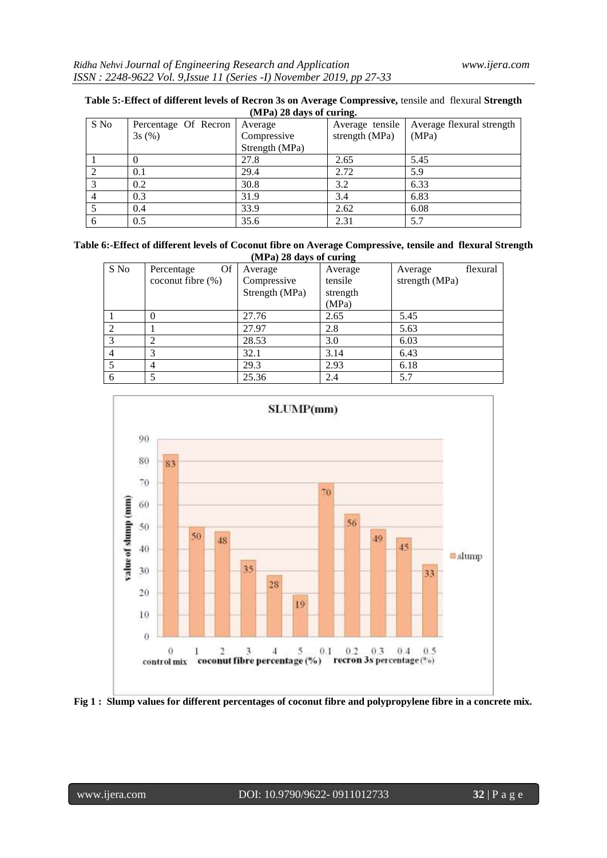| (MPa) 28 days of curing. |                      |                |                 |                           |
|--------------------------|----------------------|----------------|-----------------|---------------------------|
| S No                     | Percentage Of Recron | Average        | Average tensile | Average flexural strength |
|                          | 3s(%)                | Compressive    | strength (MPa)  | (MPa)                     |
|                          |                      | Strength (MPa) |                 |                           |
|                          |                      | 27.8           | 2.65            | 5.45                      |
|                          | 0.1                  | 29.4           | 2.72            | 5.9                       |
|                          | 0.2                  | 30.8           | 3.2             | 6.33                      |
|                          | 0.3                  | 31.9           | 3.4             | 6.83                      |
|                          | 0.4                  | 33.9           | 2.62            | 6.08                      |
| 6                        | 0.5                  | 35.6           | 2.31            | 5.7                       |

| Table 5:-Effect of different levels of Recron 3s on Average Compressive, tensile and flexural Strength |  |
|--------------------------------------------------------------------------------------------------------|--|
| $(MPa)$ 28 days of curing.                                                                             |  |

| Table 6:-Effect of different levels of Coconut fibre on Average Compressive, tensile and flexural Strength |  |
|------------------------------------------------------------------------------------------------------------|--|
| $(MPa)$ 28 days of curing                                                                                  |  |

| S No | <b>Of</b><br>Percentage | Average        | -<br>Average | flexural<br>Average |
|------|-------------------------|----------------|--------------|---------------------|
|      | coconut fibre $(\% )$   | Compressive    | tensile      | strength (MPa)      |
|      |                         | Strength (MPa) | strength     |                     |
|      |                         |                | (MPa)        |                     |
|      |                         | 27.76          | 2.65         | 5.45                |
| 2    |                         | 27.97          | 2.8          | 5.63                |
| 3    |                         | 28.53          | 3.0          | 6.03                |
| 4    |                         | 32.1           | 3.14         | 6.43                |
|      |                         | 29.3           | 2.93         | 6.18                |
| 6    |                         | 25.36          | 2.4          | 5.7                 |



**Fig 1 : Slump values for different percentages of coconut fibre and polypropylene fibre in a concrete mix.**